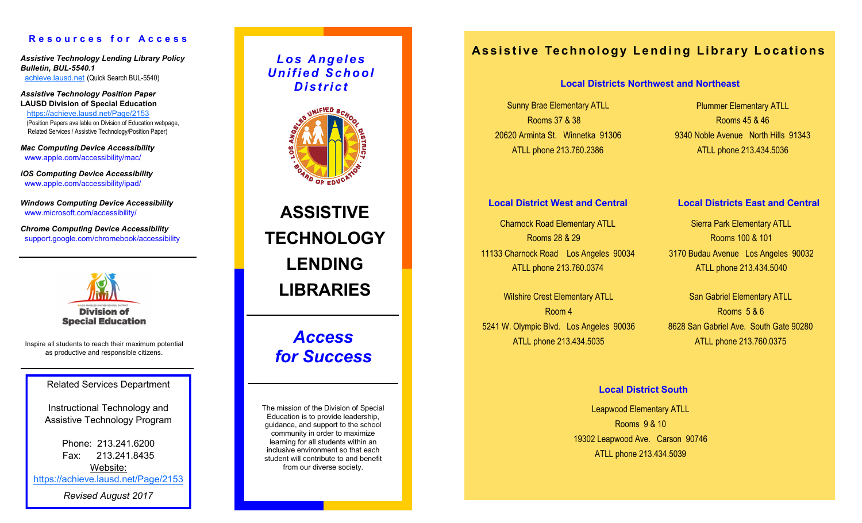#### **R e s o u r c e s f o r A c c e s s**

*Assistive Technology Lending Library Policy Bulletin, BUL-5540.1* <achieve.lausd.net> (Quick Search BUL-5540)

*Assistive Technology Position Paper* **LAUSD Division of Special Education**  <https://achieve.lausd.net/Page/2153> (Position Papers available on Division of Education webpage, Related Services / Assistive Technology/Position Paper)

*Mac Computing Device Accessibility*  www.apple.com/accessibility/mac/

*iOS Computing Device Accessibility*  www.apple.com/accessibility/ipad/

*Windows Computing Device Accessibility* www.microsoft.com/accessibility/

*Chrome Computing Device Accessibility*  support.google.com/chromebook/accessibility



Inspire all students to reach their maximum potential as productive and responsible citizens.

Related Services Department

Instructional Technology and Assistive Technology Program

> Phone: 213.241.6200 Fax: 213.241.8435 Website:

<https://achieve.lausd.net/Page/2153>

*Revised August 2017*

*L o s A n gel e s U n i fi e d S c h o ol D i st r i c t*



**ASSISTIVE TECHNOLOGY LENDING LIBRARIES**

## *Access for Success*

The mission of the Division of Special Education is to provide leadership, guidance, and support to the school community in order to maximize learning for all students within an inclusive environment so that each student will contribute to and benefit from our diverse society.

### **Assistive Technology Lending Library Locations**

#### **Local Districts Northwest and Northeast**

Sunny Brae Elementary ATLL Rooms 37 & 38 20620 Arminta St. Winnetka 91306 ATLL phone 213.760.2386

Plummer Elementary ATLL Rooms 45 & 46 9340 Noble Avenue North Hills 91343 ATLL phone 213.434.5036

Charnock Road Elementary ATLL Rooms 28 & 29 11133 Charnock Road Los Angeles 90034 ATLL phone 213.760.0374 **Local District West and Central Local Districts East and Central**

Wilshire Crest Elementary ATLL Room 4 5241 W. Olympic Blvd. Los Angeles 90036 ATLL phone 213.434.5035

Sierra Park Elementary ATLL Rooms 100 & 101 3170 Budau Avenue Los Angeles 90032 ATLL phone 213.434.5040

San Gabriel Elementary ATLL Rooms 5 & 6 8628 San Gabriel Ave. South Gate 90280 ATLL phone 213.760.0375

#### **Local District South**

Leapwood Elementary ATLL Rooms 9 & 10 19302 Leapwood Ave. Carson 90746 ATLL phone 213.434.5039